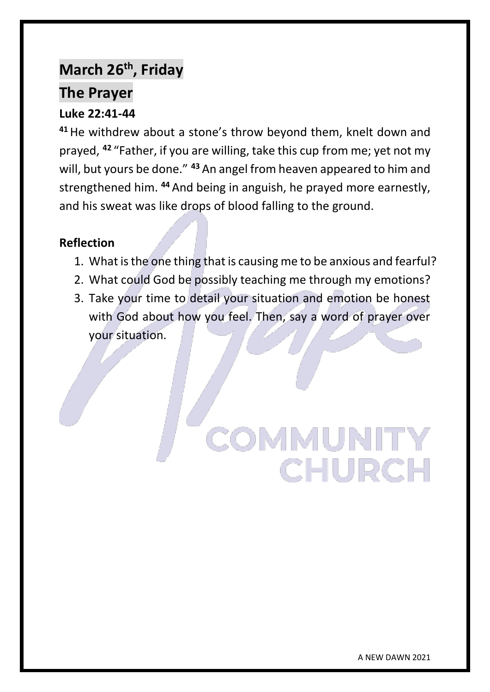# **March 26th, Friday**

# **The Prayer**

# **Luke 22:41-44**

**<sup>41</sup>**He withdrew about a stone's throw beyond them, knelt down and prayed, **<sup>42</sup>** "Father, if you are willing, take this cup from me; yet not my will, but yours be done." **<sup>43</sup>** An angel from heaven appeared to him and strengthened him. **<sup>44</sup>** And being in anguish, he prayed more earnestly, and his sweat was like drops of blood falling to the ground.

### **Reflection**

- 1. What is the one thing that is causing me to be anxious and fearful?
- 2. What could God be possibly teaching me through my emotions?
- 3. Take your time to detail your situation and emotion be honest with God about how you feel. Then, say a word of prayer over your situation.

# **COMMUNITY CHURCH**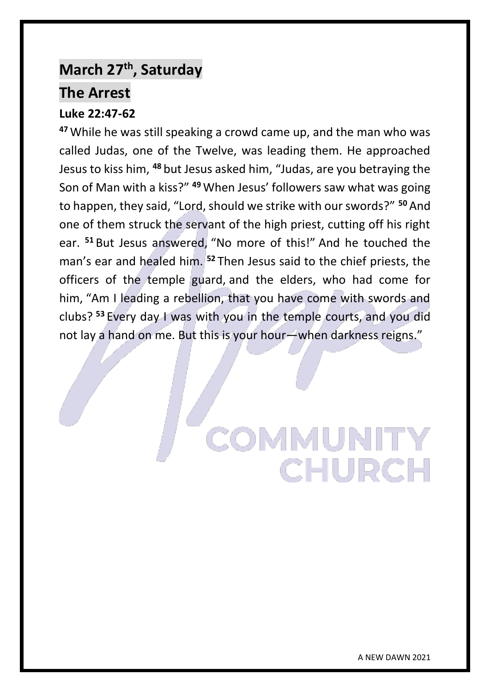# **March 27th, Saturday**

# **The Arrest**

# **Luke 22:47-62**

**<sup>47</sup>**While he was still speaking a crowd came up, and the man who was called Judas, one of the Twelve, was leading them. He approached Jesus to kiss him, **<sup>48</sup>** but Jesus asked him, "Judas, are you betraying the Son of Man with a kiss?" **<sup>49</sup>** When Jesus' followers saw what was going to happen, they said, "Lord, should we strike with our swords?" **<sup>50</sup>** And one of them struck the servant of the high priest, cutting off his right ear. **<sup>51</sup>** But Jesus answered, "No more of this!" And he touched the man's ear and healed him. **<sup>52</sup>** Then Jesus said to the chief priests, the officers of the temple guard, and the elders, who had come for him, "Am I leading a rebellion, that you have come with swords and clubs? **<sup>53</sup>** Every day I was with you in the temple courts, and you did not lay a hand on me. But this is your hour—when darkness reigns."

> OMMUNITY **CHURCH**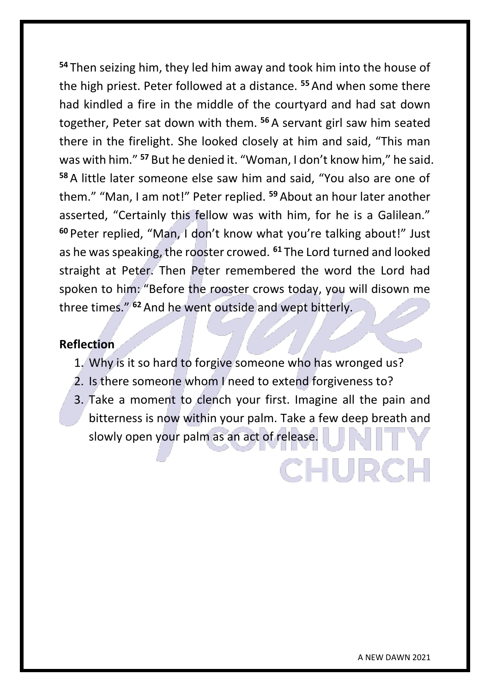**<sup>54</sup>** Then seizing him, they led him away and took him into the house of the high priest. Peter followed at a distance. **<sup>55</sup>** And when some there had kindled a fire in the middle of the courtyard and had sat down together, Peter sat down with them. **<sup>56</sup>** A servant girl saw him seated there in the firelight. She looked closely at him and said, "This man was with him." **<sup>57</sup>** But he denied it. "Woman, I don't know him," he said. **<sup>58</sup>** A little later someone else saw him and said, "You also are one of them." "Man, I am not!" Peter replied. **<sup>59</sup>** About an hour later another asserted, "Certainly this fellow was with him, for he is a Galilean." **<sup>60</sup>** Peter replied, "Man, I don't know what you're talking about!" Just as he was speaking, the rooster crowed. **<sup>61</sup>** The Lord turned and looked straight at Peter. Then Peter remembered the word the Lord had spoken to him: "Before the rooster crows today, you will disown me three times." **<sup>62</sup>** And he went outside and wept bitterly.

#### **Reflection**

- 1. Why is it so hard to forgive someone who has wronged us?
- 2. Is there someone whom I need to extend forgiveness to?
- 3. Take a moment to clench your first. Imagine all the pain and bitterness is now within your palm. Take a few deep breath and slowly open your palm as an act of release.

CHURCI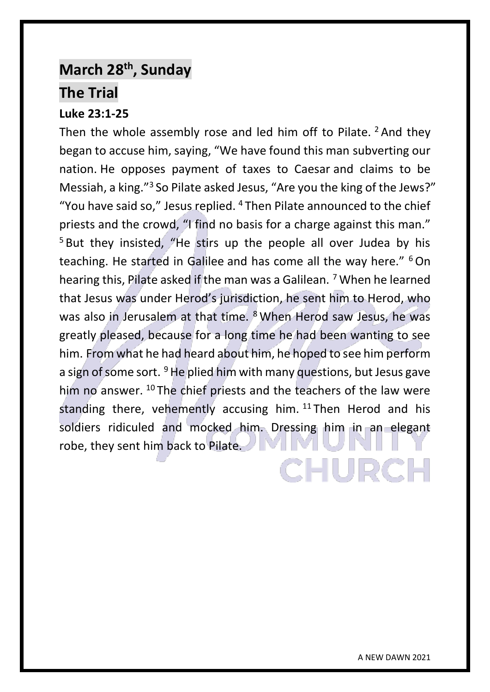# **March 28th, Sunday The Trial**

# **Luke 23:1-25** Then the whole assembly rose and led him off to Pilate.  $2$  And they began to accuse him, saying, "We have found this man subverting our nation. He opposes payment of taxes to Caesar and claims to be Messiah, a king."<sup>3</sup> So Pilate asked Jesus, "Are you the king of the Jews?" "You have said so," Jesus replied.  $4$  Then Pilate announced to the chief priests and the crowd, "I find no basis for a charge against this man." <sup>5</sup> But they insisted, "He stirs up the people all over Judea by his teaching. He started in Galilee and has come all the way here." <sup>6</sup>On hearing this, Pilate asked if the man was a Galilean. <sup>7</sup> When he learned that Jesus was under Herod's jurisdiction, he sent him to Herod, who was also in Jerusalem at that time. <sup>8</sup> When Herod saw Jesus, he was greatly pleased, because for a long time he had been wanting to see him. From what he had heard about him, he hoped to see him perform a sign of some sort.  $9$  He plied him with many questions, but Jesus gave him no answer. <sup>10</sup> The chief priests and the teachers of the law were standing there, vehemently accusing him. <sup>11</sup> Then Herod and his soldiers ridiculed and mocked him. Dressing him in an elegant robe, they sent him back to Pilate.CHURCI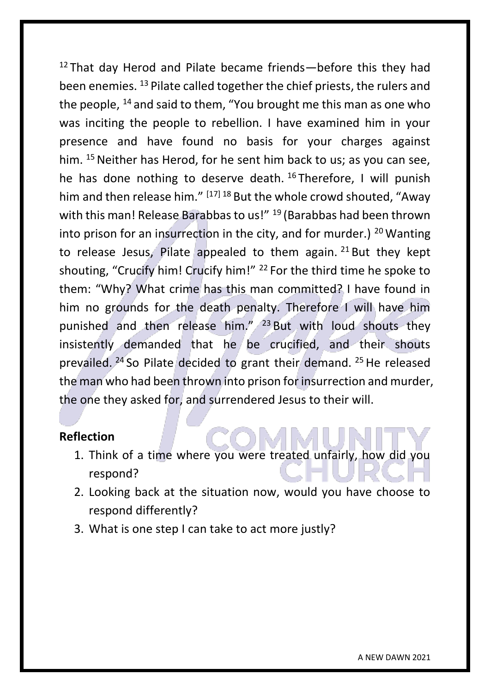$12$  That day Herod and Pilate became friends—before this they had been enemies. <sup>13</sup> Pilate called together the chief priests, the rulers and the people, <sup>14</sup> and said to them. "You brought me this man as one who was inciting the people to rebellion. I have examined him in your presence and have found no basis for your charges against him. <sup>15</sup> Neither has Herod, for he sent him back to us; as you can see, he has done nothing to deserve death.<sup>16</sup> Therefore, I will punish him and then release him." [17] 18 But the whole crowd shouted, "Away with this man! Release Barabbas to us!" <sup>19</sup> (Barabbas had been thrown into prison for an insurrection in the city, and for murder.)  $20$  Wanting to release Jesus, Pilate appealed to them again.  $21$  But they kept shouting, "Crucify him! Crucify him!" <sup>22</sup> For the third time he spoke to them: "Why? What crime has this man committed? I have found in him no grounds for the death penalty. Therefore I will have him punished and then release him." <sup>23</sup> But with loud shouts they insistently demanded that he be crucified, and their shouts prevailed.  $24$  So Pilate decided to grant their demand.  $25$  He released the man who had been thrown into prison for insurrection and murder, the one they asked for, and surrendered Jesus to their will.

- 1. Think of a time where you were treated unfairly, how did you respond?
- 2. Looking back at the situation now, would you have choose to respond differently?
- 3. What is one step I can take to act more justly?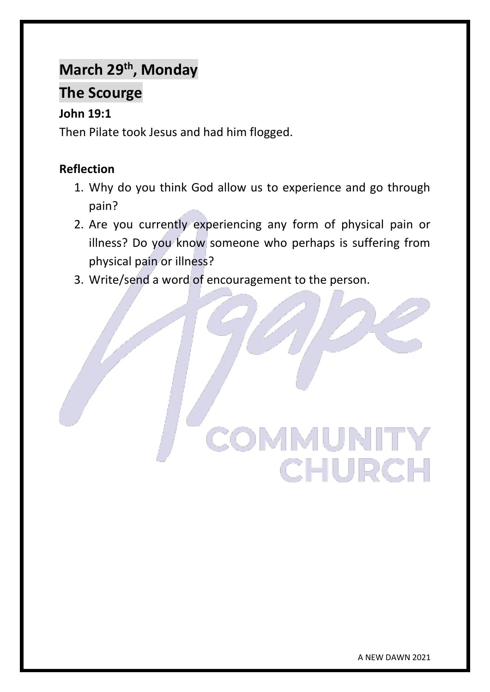# **March 29th, Monday**

# **The Scourge**

# **John 19:1**

Then Pilate took Jesus and had him flogged.

- 1. Why do you think God allow us to experience and go through pain?
- 2. Are you currently experiencing any form of physical pain or illness? Do you know someone who perhaps is suffering from physical pain or illness?
- 3. Write/send a word of encouragement to the person.

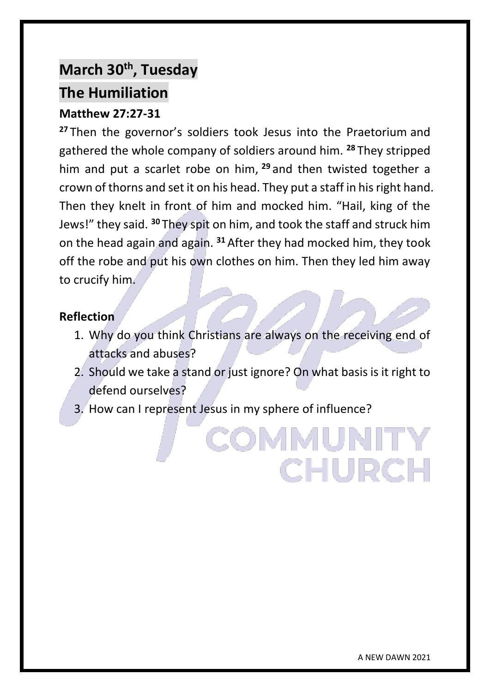# **March 30th, Tuesday The Humiliation**

## **Matthew 27:27-31**

**<sup>27</sup>** Then the governor's soldiers took Jesus into the Praetorium and gathered the whole company of soldiers around him. **<sup>28</sup>** They stripped him and put a scarlet robe on him, **<sup>29</sup>** and then twisted together a crown of thorns and set it on his head. They put a staff in his right hand. Then they knelt in front of him and mocked him. "Hail, king of the Jews!" they said. **<sup>30</sup>** They spit on him, and took the staff and struck him on the head again and again. **<sup>31</sup>** After they had mocked him, they took off the robe and put his own clothes on him. Then they led him away to crucify him.

#### **Reflection**

- 1. Why do you think Christians are always on the receiving end of attacks and abuses?
- 2. Should we take a stand or just ignore? On what basis is it right to defend ourselves?

COMMUNI

CHURCH

3. How can I represent Jesus in my sphere of influence?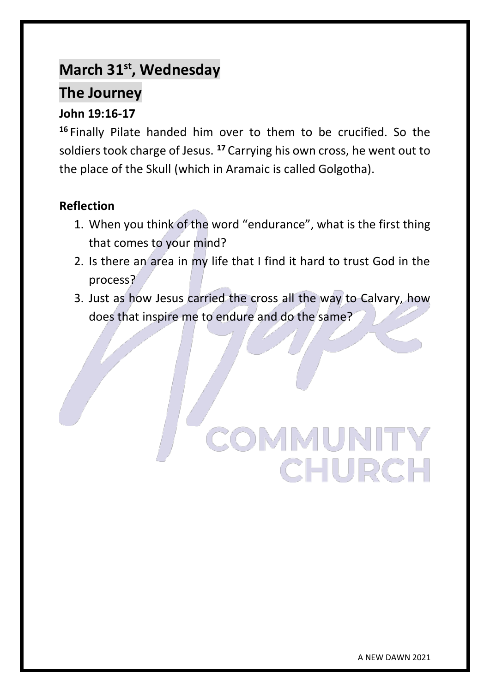# **March 31st, Wednesday**

# **The Journey**

# **John 19:16-17**

**<sup>16</sup>** Finally Pilate handed him over to them to be crucified. So the soldiers took charge of Jesus. **<sup>17</sup>** Carrying his own cross, he went out to the place of the Skull (which in Aramaic is called Golgotha).

# **Reflection**

- 1. When you think of the word "endurance", what is the first thing that comes to your mind?
- 2. Is there an area in my life that I find it hard to trust God in the process?
- 3. Just as how Jesus carried the cross all the way to Calvary, how does that inspire me to endure and do the same?

# **COMMUNITY CHURCH**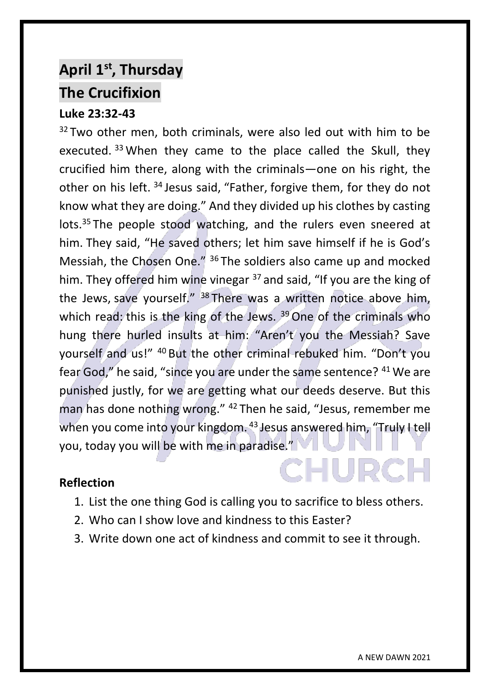# **April 1st, Thursday The Crucifixion**

## **Luke 23:32-43**

 $32$  Two other men, both criminals, were also led out with him to be executed. 33 When they came to the place called the Skull, they crucified him there, along with the criminals—one on his right, the other on his left. <sup>34</sup> Jesus said, "Father, forgive them, for they do not know what they are doing." And they divided up his clothes by casting lots.<sup>35</sup> The people stood watching, and the rulers even sneered at him. They said, "He saved others; let him save himself if he is God's Messiah, the Chosen One." <sup>36</sup> The soldiers also came up and mocked him. They offered him wine vinegar <sup>37</sup> and said, "If you are the king of the Jews, save yourself." <sup>38</sup> There was a written notice above him, which read: this is the king of the Jews.  $39$  One of the criminals who hung there hurled insults at him: "Aren't you the Messiah? Save yourself and us!" <sup>40</sup> But the other criminal rebuked him. "Don't you fear God," he said, "since you are under the same sentence? <sup>41</sup> We are punished justly, for we are getting what our deeds deserve. But this man has done nothing wrong." <sup>42</sup> Then he said, "Jesus, remember me when you come into your kingdom. <sup>43</sup> Jesus answered him, "Truly I tell you, today you will be with me in paradise."

#### **Reflection**

- 1. List the one thing God is calling you to sacrifice to bless others.
- 2. Who can I show love and kindness to this Easter?
- 3. Write down one act of kindness and commit to see it through.

**CHURGI**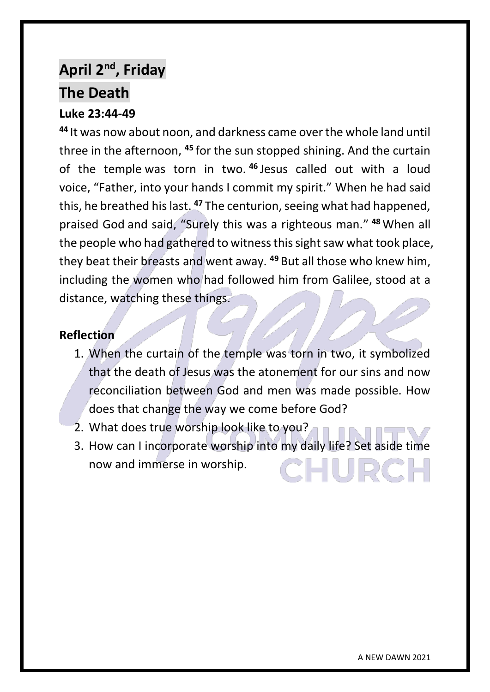# **April 2nd, Friday The Death**

## **Luke 23:44-49**

**<sup>44</sup>** It was now about noon, and darkness came over the whole land until three in the afternoon, **<sup>45</sup>** for the sun stopped shining. And the curtain of the temple was torn in two. **<sup>46</sup>** Jesus called out with a loud voice, "Father, into your hands I commit my spirit." When he had said this, he breathed his last. **<sup>47</sup>** The centurion, seeing what had happened, praised God and said, "Surely this was a righteous man." **<sup>48</sup>** When all the people who had gathered to witness this sight saw what took place, they beat their breasts and went away. **<sup>49</sup>** But all those who knew him, including the women who had followed him from Galilee, stood at a distance, watching these things.

- 1. When the curtain of the temple was torn in two, it symbolized that the death of Jesus was the atonement for our sins and now reconciliation between God and men was made possible. How does that change the way we come before God?
- 2. What does true worship look like to you?
- 3. How can I incorporate worship into my daily life? Set aside time now and immerse in worship.-IUDC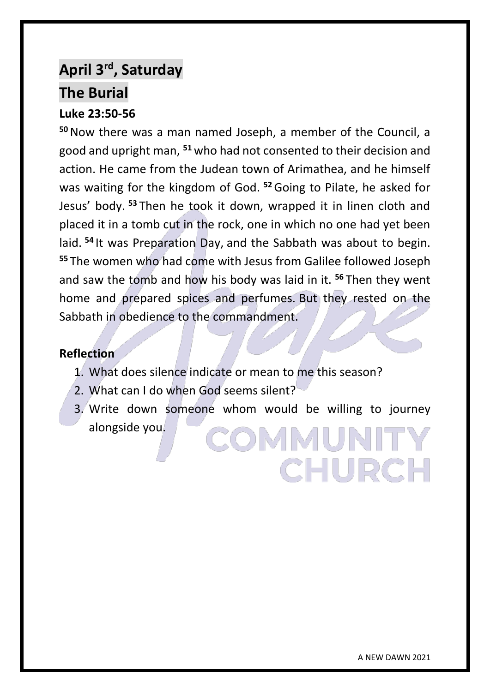# **April 3rd, Saturday The Burial**

### **Luke 23:50-56**

**<sup>50</sup>**Now there was a man named Joseph, a member of the Council, a good and upright man, **<sup>51</sup>** who had not consented to their decision and action. He came from the Judean town of Arimathea, and he himself was waiting for the kingdom of God. **<sup>52</sup>**Going to Pilate, he asked for Jesus' body. **<sup>53</sup>** Then he took it down, wrapped it in linen cloth and placed it in a tomb cut in the rock, one in which no one had yet been laid. **<sup>54</sup>** It was Preparation Day, and the Sabbath was about to begin. **<sup>55</sup>** The women who had come with Jesus from Galilee followed Joseph and saw the tomb and how his body was laid in it. **<sup>56</sup>** Then they went home and prepared spices and perfumes. But they rested on the Sabbath in obedience to the commandment.

#### **Reflection**

- 1. What does silence indicate or mean to me this season?
- 2. What can I do when God seems silent?
- 3. Write down someone whom would be willing to journey alongside you. **COMMUNIT**

**CHURCH**